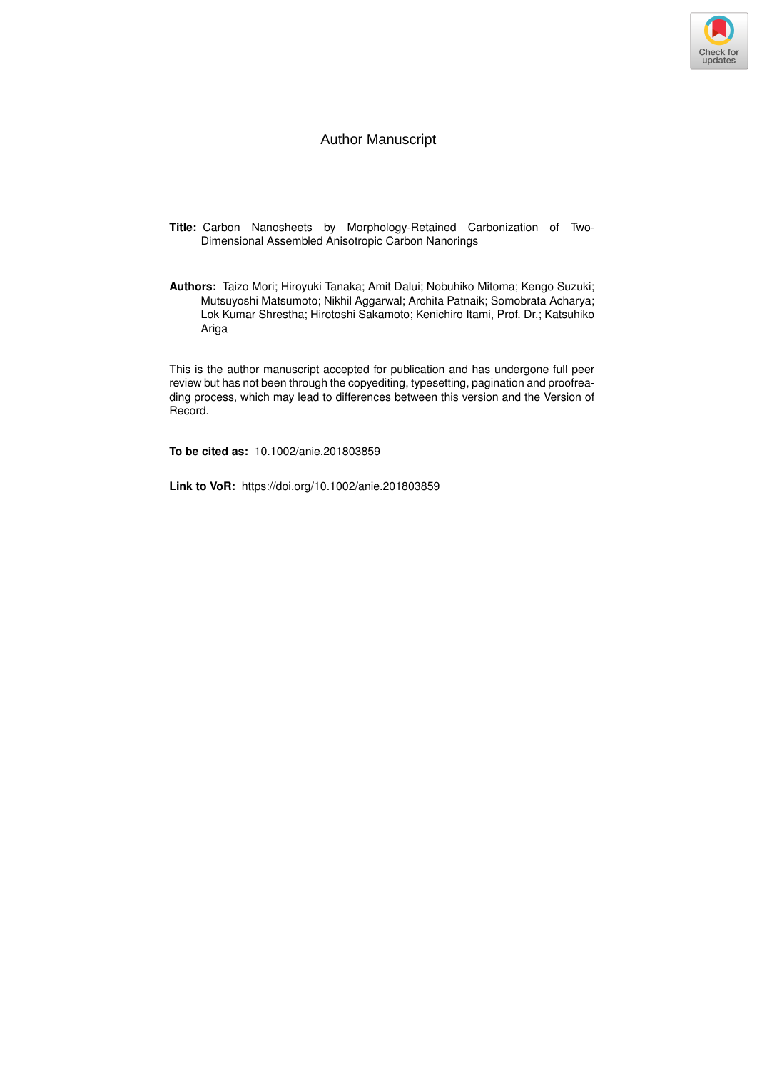

### Author Manuscript

- **Title:** Carbon Nanosheets by Morphology-Retained Carbonization of Two-Dimensional Assembled Anisotropic Carbon Nanorings
- **Authors:** Taizo Mori; Hiroyuki Tanaka; Amit Dalui; Nobuhiko Mitoma; Kengo Suzuki; Mutsuyoshi Matsumoto; Nikhil Aggarwal; Archita Patnaik; Somobrata Acharya; Lok Kumar Shrestha; Hirotoshi Sakamoto; Kenichiro Itami, Prof. Dr.; Katsuhiko Ariga

This is the author manuscript accepted for publication and has undergone full peer review but has not been through the copyediting, typesetting, pagination and proofreading process, which may lead to differences between this version and the Version of Record.

**To be cited as:** 10.1002/anie.201803859

**Link to VoR:** https://doi.org/10.1002/anie.201803859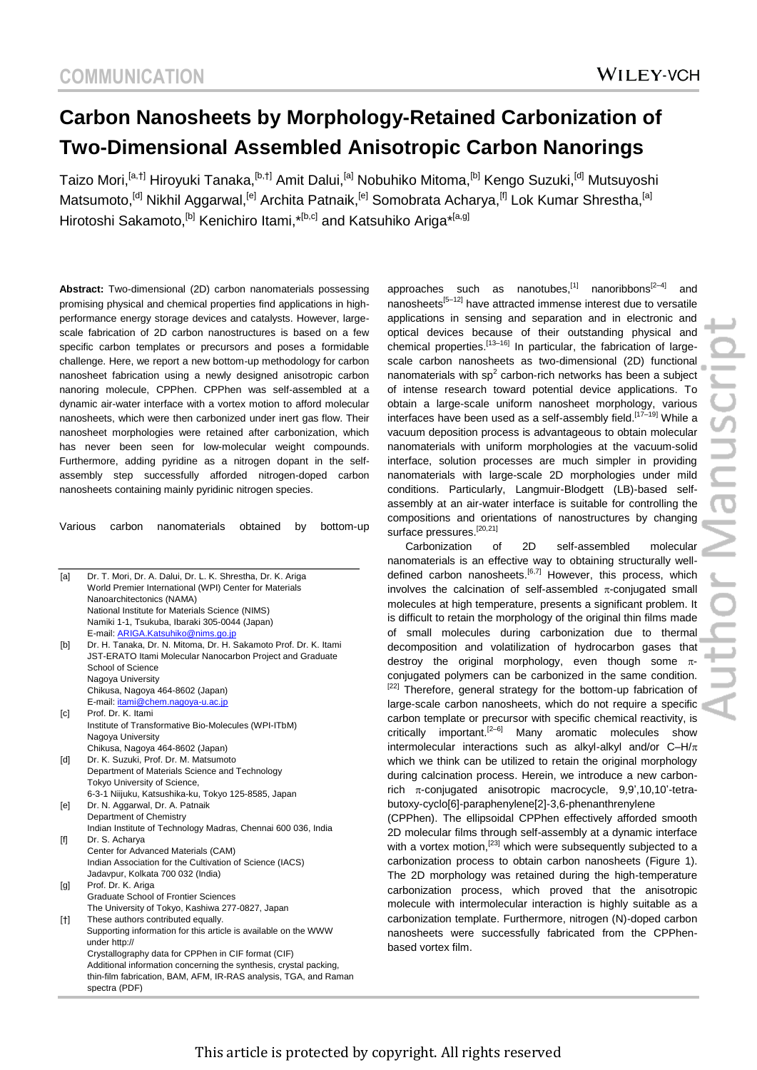# **Carbon Nanosheets by Morphology-Retained Carbonization of Two-Dimensional Assembled Anisotropic Carbon Nanorings**

Taizo Mori,<sup>[a,†]</sup> Hiroyuki Tanaka,<sup>[b,†]</sup> Amit Dalui,<sup>[a]</sup> Nobuhiko Mitoma,<sup>[b]</sup> Kengo Suzuki,<sup>[d]</sup> Mutsuyoshi Matsumoto,<sup>[d]</sup> Nikhil Aggarwal,<sup>[e]</sup> Archita Patnaik,<sup>[e]</sup> Somobrata Acharya,<sup>[f]</sup> Lok Kumar Shrestha,<sup>[a]</sup> Hirotoshi Sakamoto,<sup>[b]</sup> Kenichiro Itami,\*<sup>[b,c]</sup> and Katsuhiko Ariga\*<sup>[a,g]</sup>

**Abstract:** Two-dimensional (2D) carbon nanomaterials possessing promising physical and chemical properties find applications in highperformance energy storage devices and catalysts. However, largescale fabrication of 2D carbon nanostructures is based on a few specific carbon templates or precursors and poses a formidable challenge. Here, we report a new bottom-up methodology for carbon nanosheet fabrication using a newly designed anisotropic carbon nanoring molecule, CPPhen. CPPhen was self-assembled at a dynamic air-water interface with a vortex motion to afford molecular nanosheets, which were then carbonized under inert gas flow. Their nanosheet morphologies were retained after carbonization, which has never been seen for low-molecular weight compounds. Furthermore, adding pyridine as a nitrogen dopant in the selfassembly step successfully afforded nitrogen-doped carbon nanosheets containing mainly pyridinic nitrogen species.

Various carbon nanomaterials obtained by bottom-up

| [a]                                                                                                                                                                                                                                                                    | Dr. T. Mori, Dr. A. Dalui, Dr. L. K. Shrestha, Dr. K. Ariga                       |
|------------------------------------------------------------------------------------------------------------------------------------------------------------------------------------------------------------------------------------------------------------------------|-----------------------------------------------------------------------------------|
|                                                                                                                                                                                                                                                                        | World Premier International (WPI) Center for Materials                            |
|                                                                                                                                                                                                                                                                        | Nanoarchitectonics (NAMA)                                                         |
|                                                                                                                                                                                                                                                                        | National Institute for Materials Science (NIMS)                                   |
|                                                                                                                                                                                                                                                                        | Namiki 1-1, Tsukuba, Ibaraki 305-0044 (Japan)                                     |
|                                                                                                                                                                                                                                                                        | E-mail: ARIGA.Katsuhiko@nims.go.jp                                                |
| [b]                                                                                                                                                                                                                                                                    | Dr. H. Tanaka, Dr. N. Mitoma, Dr. H. Sakamoto Prof. Dr. K. Itami                  |
|                                                                                                                                                                                                                                                                        | JST-ERATO Itami Molecular Nanocarbon Project and Graduate                         |
|                                                                                                                                                                                                                                                                        | School of Science                                                                 |
|                                                                                                                                                                                                                                                                        | Nagoya University                                                                 |
|                                                                                                                                                                                                                                                                        | Chikusa, Nagoya 464-8602 (Japan)                                                  |
|                                                                                                                                                                                                                                                                        | E-mail: <i>itami@chem.nagoya-u.ac.jp</i>                                          |
| $\lceil c \rceil$                                                                                                                                                                                                                                                      | Prof. Dr. K. Itami                                                                |
|                                                                                                                                                                                                                                                                        | Institute of Transformative Bio-Molecules (WPI-ITbM)                              |
|                                                                                                                                                                                                                                                                        | Nagoya University                                                                 |
|                                                                                                                                                                                                                                                                        | Chikusa, Nagoya 464-8602 (Japan)                                                  |
| [d]                                                                                                                                                                                                                                                                    | Dr. K. Suzuki, Prof. Dr. M. Matsumoto                                             |
|                                                                                                                                                                                                                                                                        | Department of Materials Science and Technology                                    |
|                                                                                                                                                                                                                                                                        | Tokyo University of Science,                                                      |
|                                                                                                                                                                                                                                                                        | 6-3-1 Niijuku, Katsushika-ku, Tokyo 125-8585, Japan                               |
| [e]                                                                                                                                                                                                                                                                    | Dr. N. Aggarwal, Dr. A. Patnaik                                                   |
|                                                                                                                                                                                                                                                                        | Department of Chemistry                                                           |
|                                                                                                                                                                                                                                                                        | Indian Institute of Technology Madras, Chennai 600 036, India                     |
| $[f] % \begin{center} % \includegraphics[width=\linewidth]{imagesSupplemental_3.png} % \end{center} % \caption { % Our method can be used for the method. % The method is used in the image. % Note that the method is used in the image. % } % \label{fig:example} %$ | Dr. S. Acharya                                                                    |
|                                                                                                                                                                                                                                                                        | Center for Advanced Materials (CAM)                                               |
|                                                                                                                                                                                                                                                                        | Indian Association for the Cultivation of Science (IACS)                          |
|                                                                                                                                                                                                                                                                        | Jadavpur, Kolkata 700 032 (India)                                                 |
| [g]                                                                                                                                                                                                                                                                    | Prof. Dr. K. Ariga                                                                |
|                                                                                                                                                                                                                                                                        | Graduate School of Frontier Sciences                                              |
|                                                                                                                                                                                                                                                                        | The University of Tokyo, Kashiwa 277-0827, Japan                                  |
| [†]                                                                                                                                                                                                                                                                    | These authors contributed equally.                                                |
|                                                                                                                                                                                                                                                                        | Supporting information for this article is available on the WWW<br>under http://  |
|                                                                                                                                                                                                                                                                        | Crystallography data for CPPhen in CIF format (CIF)                               |
|                                                                                                                                                                                                                                                                        | Additional information concerning the synthesis, crystal packing,                 |
|                                                                                                                                                                                                                                                                        | thin-film fabrication, BAM, AFM, IR-RAS analysis, TGA, and Raman<br>spectra (PDF) |
|                                                                                                                                                                                                                                                                        |                                                                                   |

approaches such as nanotubes,<sup>[1]</sup> nanoribbons<sup>[2-4]</sup> and nanosheets<sup>[5-12]</sup> have attracted immense interest due to versatile applications in sensing and separation and in electronic and optical devices because of their outstanding physical and chemical properties.<sup>[13-16]</sup> In particular, the fabrication of largescale carbon nanosheets as two-dimensional (2D) functional nanomaterials with  $sp<sup>2</sup>$  carbon-rich networks has been a subject of intense research toward potential device applications. To obtain a large-scale uniform nanosheet morphology, various interfaces have been used as a self-assembly field.<sup>[17-19]</sup> While a vacuum deposition process is advantageous to obtain molecular nanomaterials with uniform morphologies at the vacuum-solid interface, solution processes are much simpler in providing nanomaterials with large-scale 2D morphologies under mild conditions. Particularly, Langmuir-Blodgett (LB)-based selfassembly at an air-water interface is suitable for controlling the compositions and orientations of nanostructures by changing surface pressures.<sup>[20,21]</sup>

Carbonization of 2D self-assembled molecular nanomaterials is an effective way to obtaining structurally welldefined carbon nanosheets.<sup>[6,7]</sup> However, this process, which involves the calcination of self-assembled  $\pi$ -conjugated small molecules at high temperature, presents a significant problem. It is difficult to retain the morphology of the original thin films made of small molecules during carbonization due to thermal decomposition and volatilization of hydrocarbon gases that destroy the original morphology, even though some  $\pi$ conjugated polymers can be carbonized in the same condition. [22] Therefore, general strategy for the bottom-up fabrication of large-scale carbon nanosheets, which do not require a specific carbon template or precursor with specific chemical reactivity, is critically important.<sup>[2–6]</sup> Many aromatic molecules show intermolecular interactions such as alkyl-alkyl and/or  $C-H/\pi$ which we think can be utilized to retain the original morphology during calcination process. Herein, we introduce a new carbonrich  $\pi$ -conjugated anisotropic macrocycle, 9,9',10,10'-tetrabutoxy-cyclo[6]-paraphenylene[2]-3,6-phenanthrenylene

(CPPhen). The ellipsoidal CPPhen effectively afforded smooth 2D molecular films through self-assembly at a dynamic interface with a vortex motion,<sup>[23]</sup> which were subsequently subjected to a carbonization process to obtain carbon nanosheets (Figure 1). The 2D morphology was retained during the high-temperature carbonization process, which proved that the anisotropic molecule with intermolecular interaction is highly suitable as a carbonization template. Furthermore, nitrogen (N)-doped carbon nanosheets were successfully fabricated from the CPPhenbased vortex film.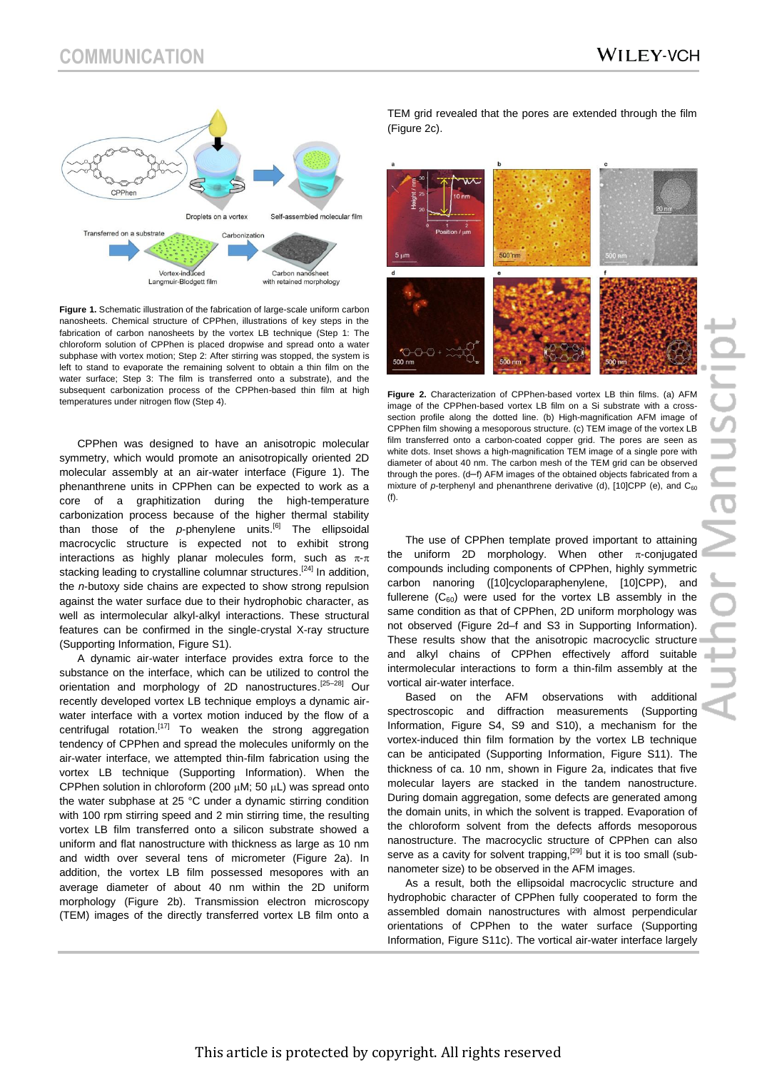

**Figure 1.** Schematic illustration of the fabrication of large-scale uniform carbon nanosheets. Chemical structure of CPPhen, illustrations of key steps in the fabrication of carbon nanosheets by the vortex LB technique (Step 1: The chloroform solution of CPPhen is placed dropwise and spread onto a water subphase with vortex motion; Step 2: After stirring was stopped, the system is left to stand to evaporate the remaining solvent to obtain a thin film on the water surface; Step 3: The film is transferred onto a substrate), and the subsequent carbonization process of the CPPhen-based thin film at high temperatures under nitrogen flow (Step 4).

CPPhen was designed to have an anisotropic molecular symmetry, which would promote an anisotropically oriented 2D molecular assembly at an air-water interface (Figure 1). The phenanthrene units in CPPhen can be expected to work as a core of a graphitization during the high-temperature carbonization process because of the higher thermal stability than those of the *p*-phenylene units.[6] The ellipsoidal macrocyclic structure is expected not to exhibit strong interactions as highly planar molecules form, such as  $\pi$ - $\pi$ stacking leading to crystalline columnar structures.<sup>[24]</sup> In addition, the *n*-butoxy side chains are expected to show strong repulsion against the water surface due to their hydrophobic character, as well as intermolecular alkyl-alkyl interactions. These structural features can be confirmed in the single-crystal X-ray structure (Supporting Information, Figure S1).

A dynamic air-water interface provides extra force to the substance on the interface, which can be utilized to control the orientation and morphology of 2D nanostructures.<sup>[25-28]</sup> Our recently developed vortex LB technique employs a dynamic airwater interface with a vortex motion induced by the flow of a centrifugal rotation.<sup>[17]</sup> To weaken the strong aggregation tendency of CPPhen and spread the molecules uniformly on the air-water interface, we attempted thin-film fabrication using the vortex LB technique (Supporting Information). When the CPPhen solution in chloroform (200  $\mu$ M; 50  $\mu$ L) was spread onto the water subphase at 25 °C under a dynamic stirring condition with 100 rpm stirring speed and 2 min stirring time, the resulting vortex LB film transferred onto a silicon substrate showed a uniform and flat nanostructure with thickness as large as 10 nm and width over several tens of micrometer (Figure 2a). In addition, the vortex LB film possessed mesopores with an average diameter of about 40 nm within the 2D uniform morphology (Figure 2b). Transmission electron microscopy (TEM) images of the directly transferred vortex LB film onto a

TEM grid revealed that the pores are extended through the film (Figure 2c).



**Figure 2.** Characterization of CPPhen-based vortex LB thin films. (a) AFM image of the CPPhen-based vortex LB film on a Si substrate with a crosssection profile along the dotted line. (b) High-magnification AFM image of CPPhen film showing a mesoporous structure. (c) TEM image of the vortex LB film transferred onto a carbon-coated copper grid. The pores are seen as white dots. Inset shows a high-magnification TEM image of a single pore with diameter of about 40 nm. The carbon mesh of the TEM grid can be observed through the pores. (d–f) AFM images of the obtained objects fabricated from a mixture of *p*-terphenyl and phenanthrene derivative (d), [10]CPP (e), and C<sub>60</sub> (f).

The use of CPPhen template proved important to attaining the uniform 2D morphology. When other  $\pi$ -conjugated compounds including components of CPPhen, highly symmetric carbon nanoring ([10]cycloparaphenylene, [10]CPP), and fullerene  $(C_{60})$  were used for the vortex LB assembly in the same condition as that of CPPhen, 2D uniform morphology was not observed (Figure 2d–f and S3 in Supporting Information). These results show that the anisotropic macrocyclic structure and alkyl chains of CPPhen effectively afford suitable intermolecular interactions to form a thin-film assembly at the vortical air-water interface.

Based on the AFM observations with additional spectroscopic and diffraction measurements (Supporting Information, Figure S4, S9 and S10), a mechanism for the vortex-induced thin film formation by the vortex LB technique can be anticipated (Supporting Information, Figure S11). The thickness of ca. 10 nm, shown in Figure 2a, indicates that five molecular layers are stacked in the tandem nanostructure. During domain aggregation, some defects are generated among the domain units, in which the solvent is trapped. Evaporation of the chloroform solvent from the defects affords mesoporous nanostructure. The macrocyclic structure of CPPhen can also serve as a cavity for solvent trapping,<sup>[29]</sup> but it is too small (subnanometer size) to be observed in the AFM images.

As a result, both the ellipsoidal macrocyclic structure and hydrophobic character of CPPhen fully cooperated to form the assembled domain nanostructures with almost perpendicular orientations of CPPhen to the water surface (Supporting Information, Figure S11c). The vortical air-water interface largely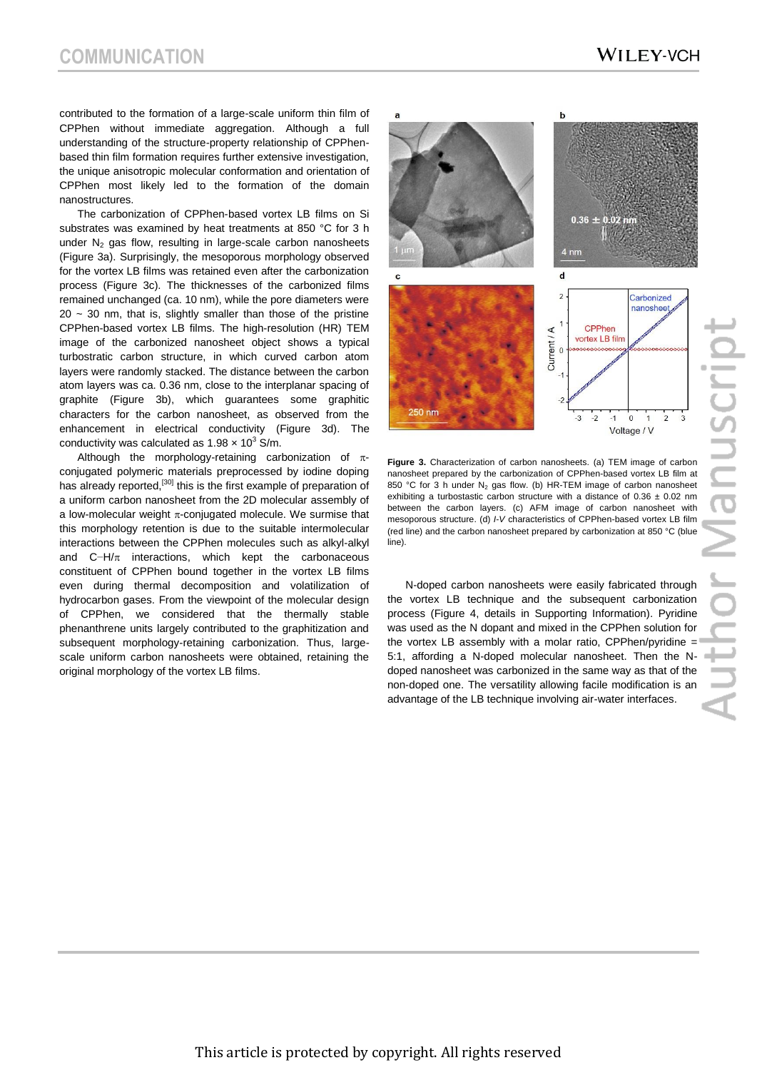contributed to the formation of a large-scale uniform thin film of CPPhen without immediate aggregation. Although a full understanding of the structure-property relationship of CPPhenbased thin film formation requires further extensive investigation, the unique anisotropic molecular conformation and orientation of CPPhen most likely led to the formation of the domain nanostructures.

The carbonization of CPPhen-based vortex LB films on Si substrates was examined by heat treatments at 850 °C for 3 h under  $N_2$  gas flow, resulting in large-scale carbon nanosheets (Figure 3a). Surprisingly, the mesoporous morphology observed for the vortex LB films was retained even after the carbonization process (Figure 3c). The thicknesses of the carbonized films remained unchanged (ca. 10 nm), while the pore diameters were  $20 \sim 30$  nm, that is, slightly smaller than those of the pristine CPPhen-based vortex LB films. The high-resolution (HR) TEM image of the carbonized nanosheet object shows a typical turbostratic carbon structure, in which curved carbon atom layers were randomly stacked. The distance between the carbon atom layers was ca. 0.36 nm, close to the interplanar spacing of graphite (Figure 3b), which guarantees some graphitic characters for the carbon nanosheet, as observed from the enhancement in electrical conductivity (Figure 3d). The conductivity was calculated as  $1.98 \times 10^3$  S/m.

Although the morphology-retaining carbonization of  $\pi$ conjugated polymeric materials preprocessed by iodine doping has already reported,<sup>[30]</sup> this is the first example of preparation of a uniform carbon nanosheet from the 2D molecular assembly of a low-molecular weight  $\pi$ -conjugated molecule. We surmise that this morphology retention is due to the suitable intermolecular interactions between the CPPhen molecules such as alkyl-alkyl and  $C-H/\pi$  interactions, which kept the carbonaceous constituent of CPPhen bound together in the vortex LB films even during thermal decomposition and volatilization of hydrocarbon gases. From the viewpoint of the molecular design of CPPhen, we considered that the thermally stable phenanthrene units largely contributed to the graphitization and subsequent morphology-retaining carbonization. Thus, largescale uniform carbon nanosheets were obtained, retaining the original morphology of the vortex LB films.



**Figure 3.** Characterization of carbon nanosheets. (a) TEM image of carbon nanosheet prepared by the carbonization of CPPhen-based vortex LB film at 850 °C for 3 h under  $N_2$  gas flow. (b) HR-TEM image of carbon nanosheet exhibiting a turbostastic carbon structure with a distance of  $0.36 \pm 0.02$  nm between the carbon layers. (c) AFM image of carbon nanosheet with mesoporous structure. (d) *I*-*V* characteristics of CPPhen-based vortex LB film (red line) and the carbon nanosheet prepared by carbonization at 850 °C (blue line).

N-doped carbon nanosheets were easily fabricated through the vortex LB technique and the subsequent carbonization process (Figure 4, details in Supporting Information). Pyridine was used as the N dopant and mixed in the CPPhen solution for the vortex LB assembly with a molar ratio, CPPhen/pyridine  $=$ 5:1, affording a N-doped molecular nanosheet. Then the Ndoped nanosheet was carbonized in the same way as that of the non-doped one. The versatility allowing facile modification is an advantage of the LB technique involving air-water interfaces.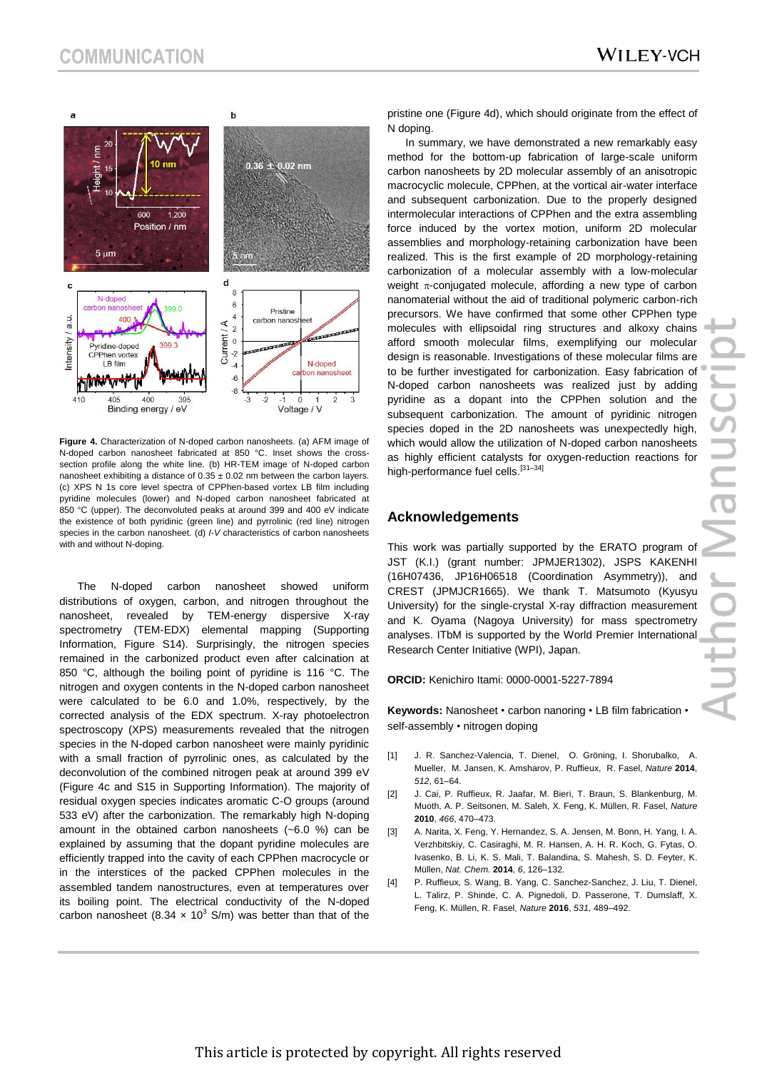

**Figure 4.** Characterization of N-doped carbon nanosheets. (a) AFM image of N-doped carbon nanosheet fabricated at 850 °C. Inset shows the crosssection profile along the white line. (b) HR-TEM image of N-doped carbon nanosheet exhibiting a distance of  $0.35 \pm 0.02$  nm between the carbon layers. (c) XPS N 1s core level spectra of CPPhen-based vortex LB film including pyridine molecules (lower) and N-doped carbon nanosheet fabricated at 850 °C (upper). The deconvoluted peaks at around 399 and 400 eV indicate the existence of both pyridinic (green line) and pyrrolinic (red line) nitrogen species in the carbon nanosheet. (d) *I*-*V* characteristics of carbon nanosheets with and without N-doping.

The N-doped carbon nanosheet showed uniform distributions of oxygen, carbon, and nitrogen throughout the nanosheet, revealed by TEM-energy dispersive X-ray spectrometry (TEM-EDX) elemental mapping (Supporting Information, Figure S14). Surprisingly, the nitrogen species remained in the carbonized product even after calcination at 850 °C, although the boiling point of pyridine is 116 °C. The nitrogen and oxygen contents in the N-doped carbon nanosheet were calculated to be 6.0 and 1.0%, respectively, by the corrected analysis of the EDX spectrum. X-ray photoelectron spectroscopy (XPS) measurements revealed that the nitrogen species in the N-doped carbon nanosheet were mainly pyridinic with a small fraction of pyrrolinic ones, as calculated by the deconvolution of the combined nitrogen peak at around 399 eV (Figure 4c and S15 in Supporting Information). The majority of residual oxygen species indicates aromatic C-O groups (around 533 eV) after the carbonization. The remarkably high N-doping amount in the obtained carbon nanosheets (~6.0 %) can be explained by assuming that the dopant pyridine molecules are efficiently trapped into the cavity of each CPPhen macrocycle or in the interstices of the packed CPPhen molecules in the assembled tandem nanostructures, even at temperatures over its boiling point. The electrical conductivity of the N-doped carbon nanosheet (8.34  $\times$  10<sup>3</sup> S/m) was better than that of the pristine one (Figure 4d), which should originate from the effect of N doping.

In summary, we have demonstrated a new remarkably easy method for the bottom-up fabrication of large-scale uniform carbon nanosheets by 2D molecular assembly of an anisotropic macrocyclic molecule, CPPhen, at the vortical air-water interface and subsequent carbonization. Due to the properly designed intermolecular interactions of CPPhen and the extra assembling force induced by the vortex motion, uniform 2D molecular assemblies and morphology-retaining carbonization have been realized. This is the first example of 2D morphology-retaining carbonization of a molecular assembly with a low-molecular weight  $\pi$ -conjugated molecule, affording a new type of carbon nanomaterial without the aid of traditional polymeric carbon-rich precursors. We have confirmed that some other CPPhen type molecules with ellipsoidal ring structures and alkoxy chains afford smooth molecular films, exemplifying our molecular design is reasonable. Investigations of these molecular films are to be further investigated for carbonization. Easy fabrication of N-doped carbon nanosheets was realized just by adding pyridine as a dopant into the CPPhen solution and the subsequent carbonization. The amount of pyridinic nitrogen species doped in the 2D nanosheets was unexpectedly high, which would allow the utilization of N-doped carbon nanosheets as highly efficient catalysts for oxygen-reduction reactions for high-performance fuel cells.<sup>[31-34]</sup>

#### **Acknowledgements**

This work was partially supported by the ERATO program of JST (K.I.) (grant number: JPMJER1302), JSPS KAKENHI (16H07436, JP16H06518 (Coordination Asymmetry)), and CREST (JPMJCR1665). We thank T. Matsumoto (Kyusyu University) for the single-crystal X-ray diffraction measurement and K. Oyama (Nagoya University) for mass spectrometry analyses. ITbM is supported by the World Premier International Research Center Initiative (WPI), Japan.

**ORCID:** Kenichiro Itami: 0000-0001-5227-7894

**Keywords:** Nanosheet • carbon nanoring • LB film fabrication • self-assembly • nitrogen doping

- [1] J. R. Sanchez-Valencia, T. Dienel, O. Gröning, I. Shorubalko, A. Mueller, M. Jansen, K. Amsharov, P. Ruffieux, R. Fasel, *Nature* **2014**, *512*, 61–64.
- [2] J. Cai, P. Ruffieux, R. Jaafar, M. Bieri, T. Braun, S. Blankenburg, M. Muoth, A. P. Seitsonen, M. Saleh, X. Feng, K. Müllen, R. Fasel, *Nature* **2010**, *466*, 470–473.
- [3] A. Narita, X. Feng, Y. Hernandez, S. A. Jensen, M. Bonn, H. Yang, I. A. Verzhbitskiy, C. Casiraghi, M. R. Hansen, A. H. R. Koch, G. Fytas, O. Ivasenko, B. Li, K. S. Mali, T. Balandina, S. Mahesh, S. D. Feyter, K. Müllen, *Nat. Chem.* **2014**, *6*, 126–132.
- [4] P. Ruffieux, S. Wang, B. Yang, C. Sanchez-Sanchez, J. Liu, T. Dienel, L. Talirz, P. Shinde, C. A. Pignedoli, D. Passerone, T. Dumslaff, X. Feng, K. Müllen, R. Fasel, *Nature* **2016**, *531*, 489–492.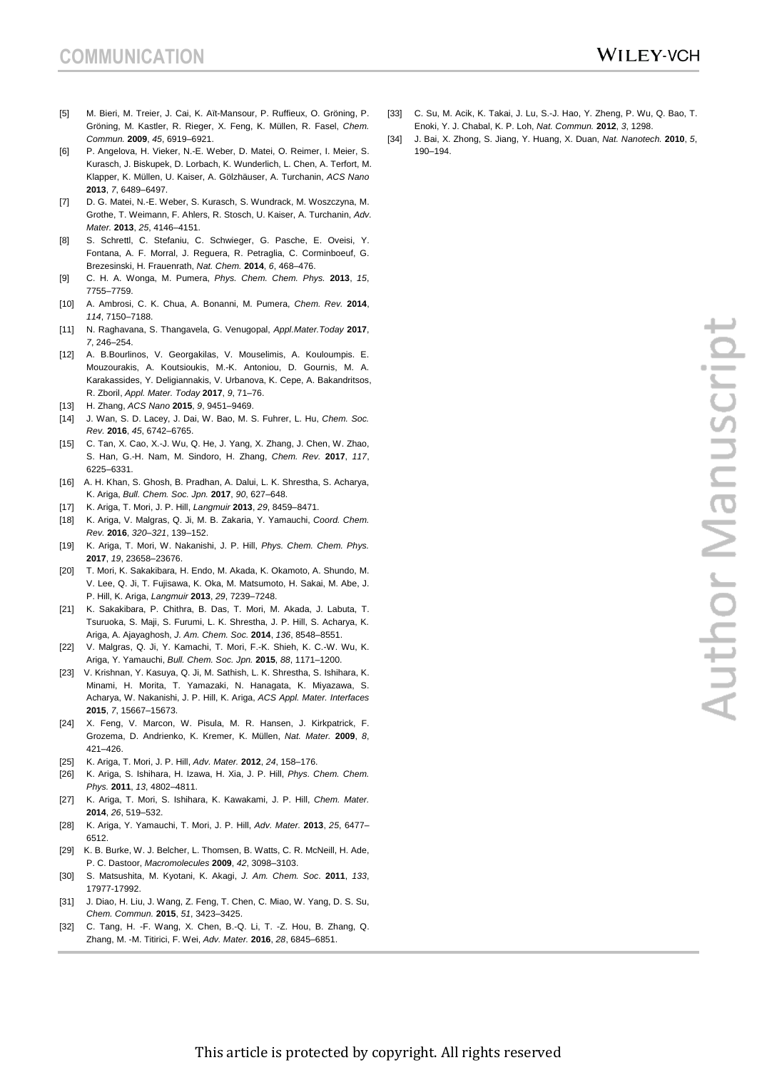- [5] M. Bieri, M. Treier, J. Cai, K. Aït-Mansour, P. Ruffieux, O. Gröning, P. Gröning, M. Kastler, R. Rieger, X. Feng, K. Müllen, R. Fasel, *Chem. Commun.* **2009**, *45*, 6919–6921.
- [6] P. Angelova, H. Vieker, N.-E. Weber, D. Matei, O. Reimer, I. Meier, S. Kurasch, J. Biskupek, D. Lorbach, K. Wunderlich, L. Chen, A. Terfort, M. Klapper, K. Müllen, U. Kaiser, A. Gölzhäuser, A. Turchanin, *ACS Nano* **2013**, *7*, 6489–6497.
- [7] D. G. Matei, N.-E. Weber, S. Kurasch, S. Wundrack, M. Woszczyna, M. Grothe, T. Weimann, F. Ahlers, R. Stosch, U. Kaiser, A. Turchanin, *Adv. Mater.* **2013**, *25*, 4146–4151.
- [8] S. Schrettl, C. Stefaniu, C. Schwieger, G. Pasche, E. Oveisi, Y. Fontana, A. F. Morral, J. Reguera, R. Petraglia, C. Corminboeuf, G. Brezesinski, H. Frauenrath, *Nat. Chem.* **2014**, *6*, 468–476.
- [9] C. H. A. Wonga, M. Pumera, *Phys. Chem. Chem. Phys.* **2013**, *15*, 7755–7759.
- [10] A. Ambrosi, C. K. Chua, A. Bonanni, M. Pumera, *Chem. Rev.* **2014**, *114*, 7150–7188.
- [11] N. Raghavana, S. Thangavela, G. Venugopal, *Appl.Mater.Today* **2017**, *7*, 246–254.
- [12] A. B.Bourlinos, V. Georgakilas, V. Mouselimis, A. Kouloumpis. E. Mouzourakis, A. Koutsioukis, M.-K. Antoniou, D. Gournis, M. A. Karakassides, Y. Deligiannakis, V. Urbanova, K. Cepe, A. Bakandritsos, R. Zboril, *Appl. Mater. Today* **2017**, *9*, 71–76.
- [13] H. Zhang, *ACS Nano* **2015**, *9*, 9451–9469.
- [14] J. Wan, S. D. Lacey, J. Dai, W. Bao, M. S. Fuhrer, L. Hu, *Chem. Soc. Rev.* **2016**, *45*, 6742–6765.
- [15] C. Tan, X. Cao, X.-J. Wu, Q. He, J. Yang, X. Zhang, J. Chen, W. Zhao, S. Han, G.-H. Nam, M. Sindoro, H. Zhang, *Chem. Rev.* **2017**, *117*, 6225–6331.
- [16] A. H. Khan, S. Ghosh, B. Pradhan, A. Dalui, L. K. Shrestha, S. Acharya, K. Ariga, *Bull. Chem. Soc. Jpn.* **2017**, *90*, 627–648.
- [17] K. Ariga, T. Mori, J. P. Hill, *Langmuir* **2013**, *29*, 8459–8471.
- [18] K. Ariga, V. Malgras, Q. Ji, M. B. Zakaria, Y. Yamauchi, *Coord. Chem. Rev.* **2016**, *320–321*, 139–152.
- [19] K. Ariga, T. Mori, W. Nakanishi, J. P. Hill, *Phys. Chem. Chem. Phys.* **2017**, *19*, 23658–23676.
- [20] T. Mori, K. Sakakibara, H. Endo, M. Akada, K. Okamoto, A. Shundo, M. V. Lee, Q. Ji, T. Fujisawa, K. Oka, M. Matsumoto, H. Sakai, M. Abe, J. P. Hill, K. Ariga, *Langmuir* **2013**, *29*, 7239–7248.
- [21] K. Sakakibara, P. Chithra, B. Das, T. Mori, M. Akada, J. Labuta, T. Tsuruoka, S. Maji, S. Furumi, L. K. Shrestha, J. P. Hill, S. Acharya, K. Ariga, A. Ajayaghosh, *J. Am. Chem. Soc.* **2014**, *136*, 8548–8551.
- [22] V. Malgras, Q. Ji, Y. Kamachi, T. Mori, F.-K. Shieh, K. C.-W. Wu, K. Ariga, Y. Yamauchi, *Bull. Chem. Soc. Jpn.* **2015**, *88*, 1171–1200.
- [23] V. Krishnan, Y. Kasuya, Q. Ji, M. Sathish, L. K. Shrestha, S. Ishihara, K. Minami, H. Morita, T. Yamazaki, N. Hanagata, K. Miyazawa, S. Acharya, W. Nakanishi, J. P. Hill, K. Ariga, *ACS Appl. Mater. Interfaces* **2015**, *7*, 15667–15673.
- [24] X. Feng, V. Marcon, W. Pisula, M. R. Hansen, J. Kirkpatrick, F. Grozema, D. Andrienko, K. Kremer, K. Müllen, *Nat. Mater.* **2009**, *8*, 421–426.
- [25] K. Ariga, T. Mori, J. P. Hill, *Adv. Mater.* **2012**, *24*, 158–176.
- [26] K. Ariga, S. Ishihara, H. Izawa, H. Xia, J. P. Hill, *Phys. Chem. Chem. Phys.* **2011**, *13*, 4802–4811.
- [27] K. Ariga, T. Mori, S. Ishihara, K. Kawakami, J. P. Hill, *Chem. Mater.* **2014**, *26*, 519–532.
- [28] K. Ariga, Y. Yamauchi, T. Mori, J. P. Hill, *Adv. Mater.* **2013**, *25*, 6477– 6512.
- [29] K. B. Burke, W. J. Belcher, L. Thomsen, B. Watts, C. R. McNeill, H. Ade, P. C. Dastoor, *Macromolecules* **2009**, *42*, 3098–3103.
- [30] S. Matsushita, M. Kyotani, K. Akagi, *J. Am. Chem. Soc*. **2011**, *133*, 17977-17992.
- [31] J. Diao, H. Liu, J. Wang, Z. Feng, T. Chen, C. Miao, W. Yang, D. S. Su, *Chem. Commun.* **2015**, *51*, 3423–3425.
- [32] C. Tang, H. -F. Wang, X. Chen, B.-Q. Li, T. -Z. Hou, B. Zhang, Q. Zhang, M. -M. Titirici, F. Wei, *Adv. Mater.* **2016**, *28*, 6845–6851.
- [33] C. Su, M. Acik, K. Takai, J. Lu, S.-J. Hao, Y. Zheng, P. Wu, Q. Bao, T. Enoki, Y. J. Chabal, K. P. Loh, *Nat. Commun.* **2012**, *3*, 1298.
- [34] J. Bai, X. Zhong, S. Jiang, Y. Huang, X. Duan, *Nat. Nanotech.* **2010**, *5*, 190–194.